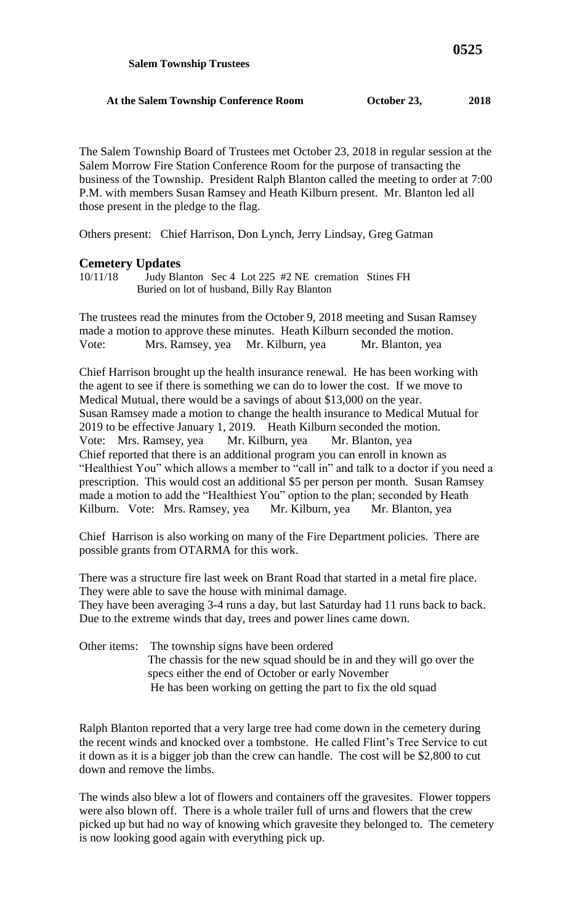The Salem Township Board of Trustees met October 23, 2018 in regular session at the Salem Morrow Fire Station Conference Room for the purpose of transacting the business of the Township. President Ralph Blanton called the meeting to order at 7:00 P.M. with members Susan Ramsey and Heath Kilburn present. Mr. Blanton led all those present in the pledge to the flag.

Others present: Chief Harrison, Don Lynch, Jerry Lindsay, Greg Gatman

## **Cemetery Updates**

The trustees read the minutes from the October 9, 2018 meeting and Susan Ramsey made a motion to approve these minutes. Heath Kilburn seconded the motion. Vote: Mrs. Ramsey, yea Mr. Kilburn, yea Mr. Blanton, yea

Chief Harrison brought up the health insurance renewal. He has been working with the agent to see if there is something we can do to lower the cost. If we move to Medical Mutual, there would be a savings of about \$13,000 on the year. Susan Ramsey made a motion to change the health insurance to Medical Mutual for 2019 to be effective January 1, 2019. Heath Kilburn seconded the motion. Vote: Mrs. Ramsey, yea Mr. Kilburn, yea Mr. Blanton, yea Chief reported that there is an additional program you can enroll in known as "Healthiest You" which allows a member to "call in" and talk to a doctor if you need a prescription. This would cost an additional \$5 per person per month. Susan Ramsey made a motion to add the "Healthiest You" option to the plan; seconded by Heath Kilburn. Vote: Mrs. Ramsey, yea Mr. Kilburn, yea Mr. Blanton, yea

Chief Harrison is also working on many of the Fire Department policies. There are possible grants from OTARMA for this work.

There was a structure fire last week on Brant Road that started in a metal fire place. They were able to save the house with minimal damage. They have been averaging 3-4 runs a day, but last Saturday had 11 runs back to back. Due to the extreme winds that day, trees and power lines came down.

Other items: The township signs have been ordered The chassis for the new squad should be in and they will go over the specs either the end of October or early November He has been working on getting the part to fix the old squad

Ralph Blanton reported that a very large tree had come down in the cemetery during the recent winds and knocked over a tombstone. He called Flint's Tree Service to cut it down as it is a bigger job than the crew can handle. The cost will be \$2,800 to cut down and remove the limbs.

The winds also blew a lot of flowers and containers off the gravesites. Flower toppers were also blown off. There is a whole trailer full of urns and flowers that the crew picked up but had no way of knowing which gravesite they belonged to. The cemetery is now looking good again with everything pick up.

<sup>10/11/18</sup> Judy Blanton Sec 4 Lot 225 #2 NE cremation Stines FH Buried on lot of husband, Billy Ray Blanton